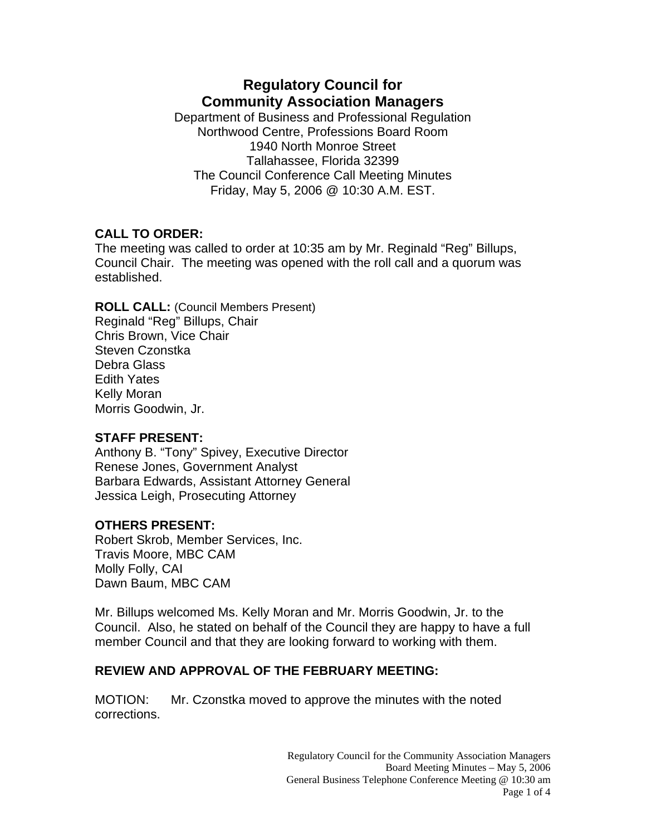# **Regulatory Council for Community Association Managers**

Department of Business and Professional Regulation Northwood Centre, Professions Board Room 1940 North Monroe Street Tallahassee, Florida 32399 The Council Conference Call Meeting Minutes Friday, May 5, 2006 @ 10:30 A.M. EST.

## **CALL TO ORDER:**

The meeting was called to order at 10:35 am by Mr. Reginald "Reg" Billups, Council Chair. The meeting was opened with the roll call and a quorum was established.

**ROLL CALL:** (Council Members Present) Reginald "Reg" Billups, Chair Chris Brown, Vice Chair Steven Czonstka Debra Glass Edith Yates Kelly Moran Morris Goodwin, Jr.

## **STAFF PRESENT:**

Anthony B. "Tony" Spivey, Executive Director Renese Jones, Government Analyst Barbara Edwards, Assistant Attorney General Jessica Leigh, Prosecuting Attorney

# **OTHERS PRESENT:**

Robert Skrob, Member Services, Inc. Travis Moore, MBC CAM Molly Folly, CAI Dawn Baum, MBC CAM

Mr. Billups welcomed Ms. Kelly Moran and Mr. Morris Goodwin, Jr. to the Council. Also, he stated on behalf of the Council they are happy to have a full member Council and that they are looking forward to working with them.

# **REVIEW AND APPROVAL OF THE FEBRUARY MEETING:**

MOTION: Mr. Czonstka moved to approve the minutes with the noted corrections.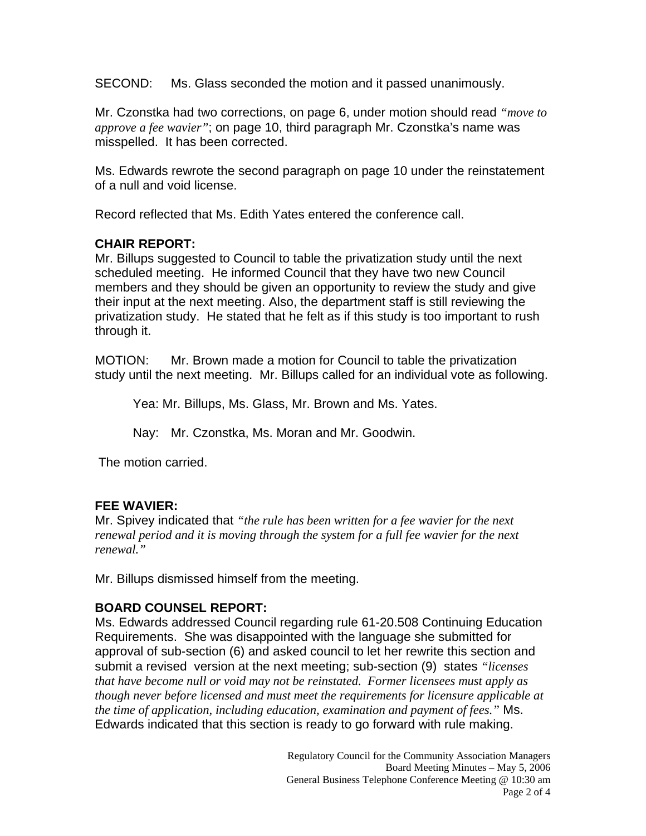SECOND: Ms. Glass seconded the motion and it passed unanimously.

Mr. Czonstka had two corrections, on page 6, under motion should read *"move to approve a fee wavier"*; on page 10, third paragraph Mr. Czonstka's name was misspelled. It has been corrected.

Ms. Edwards rewrote the second paragraph on page 10 under the reinstatement of a null and void license.

Record reflected that Ms. Edith Yates entered the conference call.

## **CHAIR REPORT:**

Mr. Billups suggested to Council to table the privatization study until the next scheduled meeting. He informed Council that they have two new Council members and they should be given an opportunity to review the study and give their input at the next meeting. Also, the department staff is still reviewing the privatization study. He stated that he felt as if this study is too important to rush through it.

MOTION: Mr. Brown made a motion for Council to table the privatization study until the next meeting. Mr. Billups called for an individual vote as following.

Yea: Mr. Billups, Ms. Glass, Mr. Brown and Ms. Yates.

Nay: Mr. Czonstka, Ms. Moran and Mr. Goodwin.

The motion carried.

## **FEE WAVIER:**

Mr. Spivey indicated that *"the rule has been written for a fee wavier for the next renewal period and it is moving through the system for a full fee wavier for the next renewal."* 

Mr. Billups dismissed himself from the meeting.

## **BOARD COUNSEL REPORT:**

Ms. Edwards addressed Council regarding rule 61-20.508 Continuing Education Requirements. She was disappointed with the language she submitted for approval of sub-section (6) and asked council to let her rewrite this section and submit a revised version at the next meeting; sub-section (9) states *"licenses that have become null or void may not be reinstated. Former licensees must apply as though never before licensed and must meet the requirements for licensure applicable at the time of application, including education, examination and payment of fees."* Ms. Edwards indicated that this section is ready to go forward with rule making.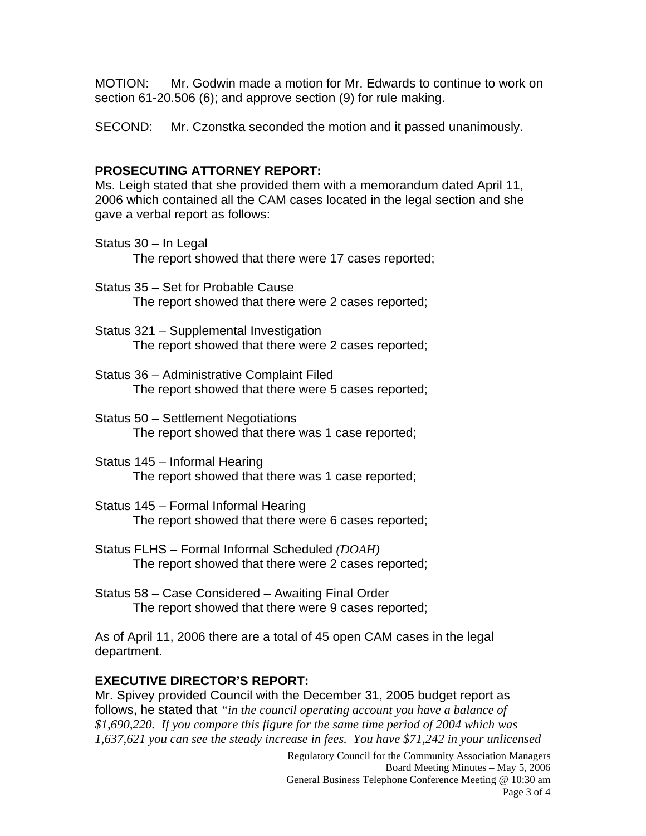MOTION: Mr. Godwin made a motion for Mr. Edwards to continue to work on section 61-20.506 (6); and approve section (9) for rule making.

SECOND: Mr. Czonstka seconded the motion and it passed unanimously.

#### **PROSECUTING ATTORNEY REPORT:**

Ms. Leigh stated that she provided them with a memorandum dated April 11, 2006 which contained all the CAM cases located in the legal section and she gave a verbal report as follows:

- Status 30 In Legal The report showed that there were 17 cases reported;
- Status 35 Set for Probable Cause The report showed that there were 2 cases reported;
- Status 321 Supplemental Investigation The report showed that there were 2 cases reported;
- Status 36 Administrative Complaint Filed The report showed that there were 5 cases reported;
- Status 50 Settlement Negotiations The report showed that there was 1 case reported;
- Status 145 Informal Hearing The report showed that there was 1 case reported;
- Status 145 Formal Informal Hearing The report showed that there were 6 cases reported;
- Status FLHS Formal Informal Scheduled *(DOAH)* The report showed that there were 2 cases reported;
- Status 58 Case Considered Awaiting Final Order The report showed that there were 9 cases reported;

As of April 11, 2006 there are a total of 45 open CAM cases in the legal department.

#### **EXECUTIVE DIRECTOR'S REPORT:**

Mr. Spivey provided Council with the December 31, 2005 budget report as follows, he stated that *"in the council operating account you have a balance of \$1,690,220. If you compare this figure for the same time period of 2004 which was 1,637,621 you can see the steady increase in fees. You have \$71,242 in your unlicensed*